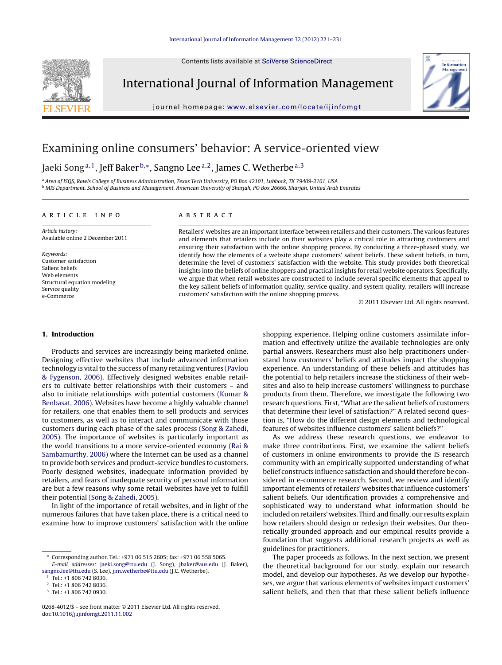Contents lists available at SciVerse [ScienceDirect](http://www.sciencedirect.com/science/journal/02684012)



International Journal of Information Management

iournal homepage: [www.elsevier.com/locate/ijinfomgt](http://www.elsevier.com/locate/ijinfomgt)



# Examining online consumers' behavior: A service-oriented view

Jaeki Song<sup>a, 1</sup>, Jeff Baker<sup>b,∗</sup>, Sangno Lee<sup>a, 2</sup>, James C. Wetherbe<sup>a, 3</sup>

a Area of ISOS, Rawls College of Business Administration, Texas Tech University, PO Box 42101, Lubbock, TX 79409-2101, USA <sup>b</sup> MIS Department, School of Business and Management, American University of Sharjah, PO Box 26666, Sharjah, United Arab Emirates

## a r t i c l e i n f o

Article history: Available online 2 December 2011

Keywords: Customer satisfaction Salient beliefs Web elements Structural equation modeling Service quality e-Commerce

## A B S T R A C T

Retailers' websites are an important interface between retailers and their customers. The various features and elements that retailers include on their websites play a critical role in attracting customers and ensuring their satisfaction with the online shopping process. By conducting a three-phased study, we identify how the elements of a website shape customers' salient beliefs. These salient beliefs, in turn, determine the level of customers' satisfaction with the website. This study provides both theoretical insights into the beliefs of online shoppers and practical insights for retail website operators. Specifically, we argue that when retail websites are constructed to include several specific elements that appeal to the key salient beliefs of information quality, service quality, and system quality, retailers will increase customers' satisfaction with the online shopping process.

© 2011 Elsevier Ltd. All rights reserved.

#### **1. Introduction**

Products and services are increasingly being marketed online. Designing effective websites that include advanced information technology is vital to the success of many retailing ventures ([Pavlou](#page--1-0) [&](#page--1-0) [Fygenson,](#page--1-0) [2006\).](#page--1-0) Effectively designed websites enable retailers to cultivate better relationships with their customers – and also to initiate relationships with potential customers ([Kumar](#page--1-0) [&](#page--1-0) [Benbasat,](#page--1-0) [2006\).](#page--1-0) Websites have become a highly valuable channel for retailers, one that enables them to sell products and services to customers, as well as to interact and communicate with those customers during each phase of the sales process [\(Song](#page--1-0) [&](#page--1-0) [Zahedi,](#page--1-0) [2005\).](#page--1-0) The importance of websites is particularly important as the world transitions to a more service-oriented economy ([Rai](#page--1-0) [&](#page--1-0) [Sambamurthy,](#page--1-0) [2006\)](#page--1-0) where the Internet can be used as a channel to provide both services and product-service bundles to customers. Poorly designed websites, inadequate information provided by retailers, and fears of inadequate security of personal information are but a few reasons why some retail websites have yet to fulfill their potential ([Song](#page--1-0) [&](#page--1-0) [Zahedi,](#page--1-0) [2005\).](#page--1-0)

In light of the importance of retail websites, and in light of the numerous failures that have taken place, there is a critical need to examine how to improve customers' satisfaction with the online shopping experience. Helping online customers assimilate information and effectively utilize the available technologies are only partial answers. Researchers must also help practitioners understand how customers' beliefs and attitudes impact the shopping experience. An understanding of these beliefs and attitudes has the potential to help retailers increase the stickiness of their websites and also to help increase customers' willingness to purchase products from them. Therefore, we investigate the following two research questions. First, "What are the salient beliefs of customers that determine their level of satisfaction?" A related second question is, "How do the different design elements and technological features of websites influence customers' salient beliefs?"

As we address these research questions, we endeavor to make three contributions. First, we examine the salient beliefs of customers in online environments to provide the IS research community with an empirically supported understanding of what belief constructs influence satisfactionand should therefore be considered in e-commerce research. Second, we review and identify important elements of retailers' websites that influence customers' salient beliefs. Our identification provides a comprehensive and sophisticated way to understand what information should be included on retailers' websites. Third and finally, our results explain how retailers should design or redesign their websites. Our theoretically grounded approach and our empirical results provide a foundation that suggests additional research projects as well as guidelines for practitioners.

The paper proceeds as follows. In the next section, we present the theoretical background for our study, explain our research model, and develop our hypotheses. As we develop our hypotheses, we argue that various elements of websites impact customers' salient beliefs, and then that that these salient beliefs influence

<sup>∗</sup> Corresponding author. Tel.: +971 06 515 2605; fax: +971 06 558 5065. E-mail addresses: [jaeki.song@ttu.edu](mailto:jaeki.song@ttu.edu) (J. Song), [jbaker@aus.edu](mailto:jbaker@aus.edu) (J. Baker), [sangno.lee@ttu.edu](mailto:sangno.lee@ttu.edu) (S. Lee), [jim.wetherbe@ttu.edu](mailto:jim.wetherbe@ttu.edu) (J.C. Wetherbe).

Tel.: +1 806 742 8036.

<sup>2</sup> Tel.: +1 806 742 8036.

<sup>3</sup> Tel.: +1 806 742 0930.

<sup>0268-4012/\$</sup> – see front matter © 2011 Elsevier Ltd. All rights reserved. doi:[10.1016/j.ijinfomgt.2011.11.002](dx.doi.org/10.1016/j.ijinfomgt.2011.11.002)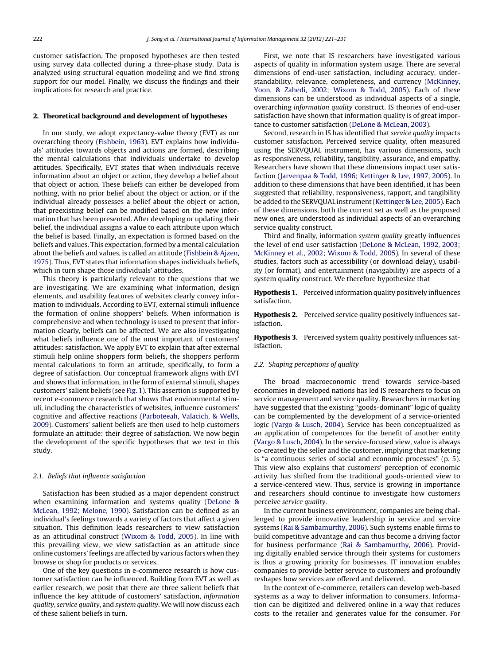customer satisfaction. The proposed hypotheses are then tested using survey data collected during a three-phase study. Data is analyzed using structural equation modeling and we find strong support for our model. Finally, we discuss the findings and their implications for research and practice.

#### **2. Theoretical background and development of hypotheses**

In our study, we adopt expectancy-value theory (EVT) as our overarching theory ([Fishbein,](#page--1-0) [1963\).](#page--1-0) EVT explains how individuals' attitudes towards objects and actions are formed, describing the mental calculations that individuals undertake to develop attitudes. Specifically, EVT states that when individuals receive information about an object or action, they develop a belief about that object or action. These beliefs can either be developed from nothing, with no prior belief about the object or action, or if the individual already possesses a belief about the object or action, that preexisting belief can be modified based on the new information that has been presented. After developing or updating their belief, the individual assigns a value to each attribute upon which the belief is based. Finally, an expectation is formed based on the beliefs and values. This expectation, formed by a mental calculation about the beliefs and values, is called an attitude ([Fishbein](#page--1-0) [&](#page--1-0) [Ajzen,](#page--1-0) [1975\).](#page--1-0) Thus, EVT states that information shapes individuals beliefs, which in turn shape those individuals' attitudes.

This theory is particularly relevant to the questions that we are investigating. We are examining what information, design elements, and usability features of websites clearly convey information to individuals. According to EVT, external stimuli influence the formation of online shoppers' beliefs. When information is comprehensive and when technology is used to present that information clearly, beliefs can be affected. We are also investigating what beliefs influence one of the most important of customers' attitudes: satisfaction. We apply EVT to explain that after external stimuli help online shoppers form beliefs, the shoppers perform mental calculations to form an attitude, specifically, to form a degree of satisfaction. Our conceptual framework aligns with EVT and shows that information, in the form of external stimuli, shapes customers' salient beliefs (see [Fig.](#page--1-0) 1). This assertion is supported by recent e-commerce research that shows that environmental stimuli, including the characteristics of websites, influence customers' cognitive and affective reactions [\(Parboteeah,](#page--1-0) [Valacich,](#page--1-0) [&](#page--1-0) [Wells,](#page--1-0) [2009\).](#page--1-0) Customers' salient beliefs are then used to help customers formulate an attitude: their degree of satisfaction. We now begin the development of the specific hypotheses that we test in this study.

#### 2.1. Beliefs that influence satisfaction

Satisfaction has been studied as a major dependent construct when examining information and systems quality [\(DeLone](#page--1-0) [&](#page--1-0) [McLean,](#page--1-0) [1992;](#page--1-0) [Melone,](#page--1-0) [1990\).](#page--1-0) Satisfaction can be defined as an individual's feelings towards a variety of factors that affect a given situation. This definition leads researchers to view satisfaction as an attitudinal construct ([Wixom](#page--1-0) [&](#page--1-0) [Todd,](#page--1-0) [2005\).](#page--1-0) In line with this prevailing view, we view satisfaction as an attitude since online customers'feelings are affected by various factors when they browse or shop for products or services.

One of the key questions in e-commerce research is how customer satisfaction can be influenced. Building from EVT as well as earlier research, we posit that there are three salient beliefs that influence the key attitude of customers' satisfaction, information quality, service quality, and system quality. We will now discuss each of these salient beliefs in turn.

First, we note that IS researchers have investigated various aspects of quality in information system usage. There are several dimensions of end-user satisfaction, including accuracy, understandability, relevance, completeness, and currency ([McKinney,](#page--1-0) [Yoon,](#page--1-0) [&](#page--1-0) [Zahedi,](#page--1-0) [2002;](#page--1-0) [Wixom](#page--1-0) [&](#page--1-0) [Todd,](#page--1-0) [2005\).](#page--1-0) Each of these dimensions can be understood as individual aspects of a single, overarching information quality construct. IS theories of end-user satisfaction have shown that information quality is of great importance to customer satisfaction ([DeLone](#page--1-0) [&](#page--1-0) [McLean,](#page--1-0) [2003\).](#page--1-0)

Second, research in IS has identified that service quality impacts customer satisfaction. Perceived service quality, often measured using the SERVQUAL instrument, has various dimensions, such as responsiveness, reliability, tangibility, assurance, and empathy. Researchers have shown that these dimensions impact user satisfaction [\(Jarvenpaa](#page--1-0) [&](#page--1-0) [Todd,](#page--1-0) [1996;](#page--1-0) [Kettinger](#page--1-0) [&](#page--1-0) [Lee,](#page--1-0) [1997,](#page--1-0) [2005\).](#page--1-0) In addition to these dimensions that have been identified, it has been suggested that reliability, responsiveness, rapport, and tangibility be added to the SERVQUAL instrument[\(Kettinger](#page--1-0) [&](#page--1-0) [Lee,](#page--1-0) [2005\).](#page--1-0) Each of these dimensions, both the current set as well as the proposed new ones, are understood as individual aspects of an overarching service quality construct.

Third and finally, information system quality greatly influences the level of end user satisfaction [\(DeLone](#page--1-0) [&](#page--1-0) [McLean,](#page--1-0) [1992,](#page--1-0) [2003;](#page--1-0) [McKinney](#page--1-0) et [al.,](#page--1-0) [2002;](#page--1-0) [Wixom](#page--1-0) [&](#page--1-0) [Todd,](#page--1-0) [2005\).](#page--1-0) In several of these studies, factors such as accessibility (or download delay), usability (or format), and entertainment (navigability) are aspects of a system quality construct. We therefore hypothesize that

**Hypothesis 1.** Perceived information quality positively influences satisfaction.

**Hypothesis 2.** Perceived service quality positively influences satisfaction.

**Hypothesis 3.** Perceived system quality positively influences satisfaction.

#### 2.2. Shaping perceptions of quality

The broad macroeconomic trend towards service-based economies in developed nations has led IS researchers to focus on service management and service quality. Researchers in marketing have suggested that the existing "goods-dominant" logic of quality can be complemented by the development of a service-oriented logic ([Vargo](#page--1-0) [&](#page--1-0) [Lusch,](#page--1-0) [2004\).](#page--1-0) Service has been conceptualized as an application of competences for the benefit of another entity [\(Vargo](#page--1-0) [&](#page--1-0) [Lusch,](#page--1-0) [2004\).](#page--1-0) In the service-focused view, value is always co-created by the seller and the customer, implying that marketing is "a continuous series of social and economic processes" (p. 5). This view also explains that customers' perception of economic activity has shifted from the traditional goods-oriented view to a service-centered view. Thus, service is growing in importance and researchers should continue to investigate how customers perceive service quality.

In the current business environment, companies are being challenged to provide innovative leadership in service and service systems [\(Rai](#page--1-0) [&](#page--1-0) [Sambamurthy,](#page--1-0) [2006\).](#page--1-0) Such systems enable firms to build competitive advantage and can thus become a driving factor for business performance ([Rai](#page--1-0) [&](#page--1-0) [Sambamurthy,](#page--1-0) [2006\).](#page--1-0) Providing digitally enabled service through their systems for customers is thus a growing priority for businesses. IT innovation enables companies to provide better service to customers and profoundly reshapes how services are offered and delivered.

In the context of e-commerce, retailers can develop web-based systems as a way to deliver information to consumers. Information can be digitized and delivered online in a way that reduces costs to the retailer and generates value for the consumer. For